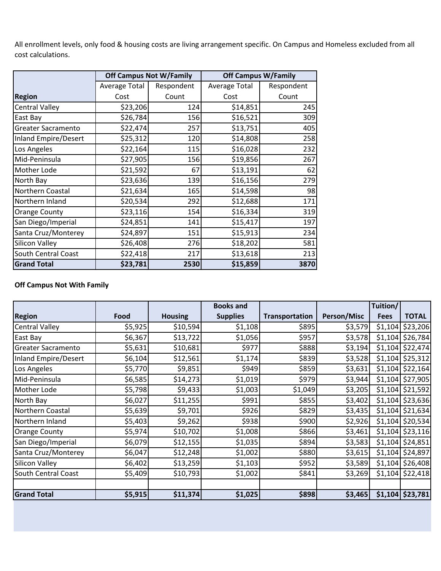All enrollment levels, only food & housing costs are living arrangement specific. On Campus and Homeless excluded from all cost calculations.

|                             | <b>Off Campus Not W/Family</b> |            | <b>Off Campus W/Family</b> |            |  |
|-----------------------------|--------------------------------|------------|----------------------------|------------|--|
|                             | Average Total                  | Respondent | Average Total              | Respondent |  |
| <b>Region</b>               | Cost                           | Count      | Cost                       | Count      |  |
| <b>Central Valley</b>       | \$23,206                       | 124        | \$14,851                   | 245        |  |
| East Bay                    | \$26,784                       | 156        | \$16,521                   | 309        |  |
| <b>Greater Sacramento</b>   | \$22,474                       | 257        | \$13,751                   | 405        |  |
| <b>Inland Empire/Desert</b> | \$25,312                       | 120        | \$14,808                   | 258        |  |
| Los Angeles                 | \$22,164                       | 115        | \$16,028                   | 232        |  |
| Mid-Peninsula               | \$27,905                       | 156        | \$19,856                   | 267        |  |
| <b>Mother Lode</b>          | \$21,592                       | 67         | \$13,191                   | 62         |  |
| North Bay                   | \$23,636                       | 139        | \$16,156                   | 279        |  |
| Northern Coastal            | \$21,634                       | 165        | \$14,598                   | 98         |  |
| Northern Inland             | \$20,534                       | 292        | \$12,688                   | 171        |  |
| <b>Orange County</b>        | \$23,116                       | 154        | \$16,334                   | 319        |  |
| San Diego/Imperial          | \$24,851                       | 141        | \$15,417                   | 197        |  |
| Santa Cruz/Monterey         | \$24,897                       | 151        | \$15,913                   | 234        |  |
| <b>Silicon Valley</b>       | \$26,408                       | 276        | \$18,202                   | 581        |  |
| <b>South Central Coast</b>  | \$22,418                       | 217        | \$13,618                   | 213        |  |
| <b>Grand Total</b>          | \$23,781                       | 2530       | \$15,859                   | 3870       |  |

## **Off Campus Not With Family**

|                            |         |                | <b>Books and</b> |                |             | Tuition/    |                    |
|----------------------------|---------|----------------|------------------|----------------|-------------|-------------|--------------------|
| <b>Region</b>              | Food    | <b>Housing</b> | <b>Supplies</b>  | Transportation | Person/Misc | <b>Fees</b> | <b>TOTAL</b>       |
| <b>Central Valley</b>      | \$5,925 | \$10,594       | \$1,108          | \$895          | \$3,579     | \$1,104     | \$23,206           |
| East Bay                   | \$6,367 | \$13,722       | \$1,056          | \$957          | \$3,578     |             | \$1,104 \$26,784   |
| <b>Greater Sacramento</b>  | \$5,631 | \$10,681       | \$977            | \$888          | \$3,194     |             | $$1,104$ \$22,474  |
| Inland Empire/Desert       | \$6,104 | \$12,561       | \$1,174          | \$839          | \$3,528     |             | $$1,104$ \$25,312  |
| Los Angeles                | \$5,770 | \$9,851        | \$949            | \$859          | \$3,631     |             | $$1,104$ $$22,164$ |
| Mid-Peninsula              | \$6,585 | \$14,273       | \$1,019          | \$979          | \$3,944     |             | \$1,104 \$27,905   |
| <b>Mother Lode</b>         | \$5,798 | \$9,433        | \$1,003          | \$1,049        | \$3,205     |             | $$1,104$ \$21,592  |
| North Bay                  | \$6,027 | \$11,255       | \$991            | \$855          | \$3,402     |             | \$1,104 \$23,636   |
| Northern Coastal           | \$5,639 | \$9,701        | \$926            | \$829          | \$3,435     |             | \$1,104 \$21,634   |
| Northern Inland            | \$5,403 | \$9,262        | \$938            | \$900          | \$2,926     |             | \$1,104 \$20,534   |
| Orange County              | \$5,974 | \$10,702       | \$1,008          | \$866          | \$3,461     |             | $$1,104$ $$23,116$ |
| San Diego/Imperial         | \$6,079 | \$12,155       | \$1,035          | \$894          | \$3,583     |             | $$1,104$ $$24,851$ |
| Santa Cruz/Monterey        | \$6,047 | \$12,248       | \$1,002          | \$880          | \$3,615     |             | \$1,104 \$24,897   |
| <b>Silicon Valley</b>      | \$6,402 | \$13,259       | \$1,103          | \$952          | \$3,589     |             | $$1,104$ \$26,408  |
| <b>South Central Coast</b> | \$5,409 | \$10,793       | \$1,002          | \$841          | \$3,269     |             | $$1,104$ \$22,418  |
|                            |         |                |                  |                |             |             |                    |
| <b>Grand Total</b>         | \$5,915 | \$11,374       | \$1,025          | \$898          | \$3,465     |             | $$1,104$ $$23,781$ |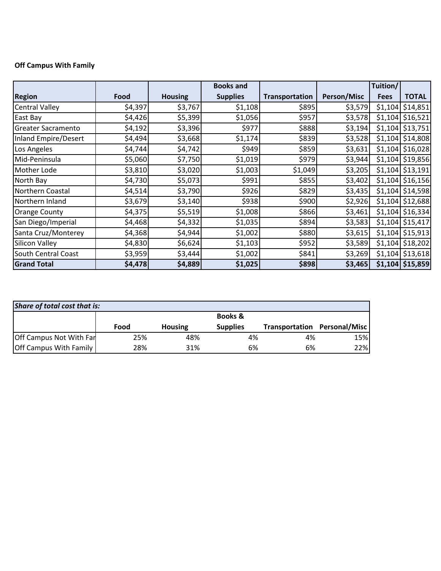## **Off Campus With Family**

|                           |         |                | <b>Books and</b> |                |                    | Tuition/    |                    |
|---------------------------|---------|----------------|------------------|----------------|--------------------|-------------|--------------------|
| <b>Region</b>             | Food    | <b>Housing</b> | <b>Supplies</b>  | Transportation | <b>Person/Misc</b> | <b>Fees</b> | <b>TOTAL</b>       |
| <b>Central Valley</b>     | \$4,397 | \$3,767        | \$1,108          | \$895          | \$3,579            | \$1,104     | \$14,851           |
| East Bay                  | \$4,426 | \$5,399        | \$1,056          | \$957          | \$3,578            |             | $$1,104$ \$16,521  |
| <b>Greater Sacramento</b> | \$4,192 | \$3,396        | \$977            | \$888          | \$3,194            |             | $$1,104$ \$13,751  |
| Inland Empire/Desert      | \$4,494 | \$3,668        | \$1,174          | \$839          | \$3,528            |             | $$1,104$ $$14,808$ |
| Los Angeles               | \$4,744 | \$4,742        | \$949            | \$859          | \$3,631            |             | \$1,104 \$16,028   |
| Mid-Peninsula             | \$5,060 | \$7,750        | \$1,019          | \$979          | \$3,944            |             | \$1,104 \$19,856   |
| Mother Lode               | \$3,810 | \$3,020        | \$1,003          | \$1,049        | \$3,205            |             | $$1,104$ \$13,191  |
| North Bay                 | \$4,730 | \$5,073        | \$991            | \$855          | \$3,402            |             | $$1,104$ \$16,156  |
| Northern Coastal          | \$4,514 | \$3,790        | \$926            | \$829          | \$3,435            | \$1,104     | \$14,598           |
| Northern Inland           | \$3,679 | \$3,140        | \$938            | \$900          | \$2,926            | \$1,104     | \$12,688           |
| <b>Orange County</b>      | \$4,375 | \$5,519        | \$1,008          | \$866          | \$3,461            |             | \$1,104 \$16,334   |
| San Diego/Imperial        | \$4,468 | \$4,332        | \$1,035          | \$894          | \$3,583            |             | \$1,104 \$15,417   |
| Santa Cruz/Monterey       | \$4,368 | \$4,944        | \$1,002          | \$880          | \$3,615            |             | $$1,104$ \$15,913  |
| Silicon Valley            | \$4,830 | \$6,624        | \$1,103          | \$952          | \$3,589            |             | $$1,104$ $$18,202$ |
| South Central Coast       | \$3,959 | \$3,444        | \$1,002          | \$841          | \$3,269            |             | \$1,104 \$13,618   |
| <b>Grand Total</b>        | \$4,478 | \$4,889        | \$1,025          | \$898          | \$3,465            |             | \$1,104 \$15,859   |

| Share of total cost that is:  |      |                |                    |                |               |  |
|-------------------------------|------|----------------|--------------------|----------------|---------------|--|
|                               |      |                | <b>Books &amp;</b> |                |               |  |
|                               | Food | <b>Housing</b> | <b>Supplies</b>    | Transportation | Personal/Misc |  |
| Off Campus Not With Far       | 25%  | 48%            | 4%                 | 4%             | 15%           |  |
| <b>Off Campus With Family</b> | 28%  | 31%            | 6%                 | 6%             | 22%           |  |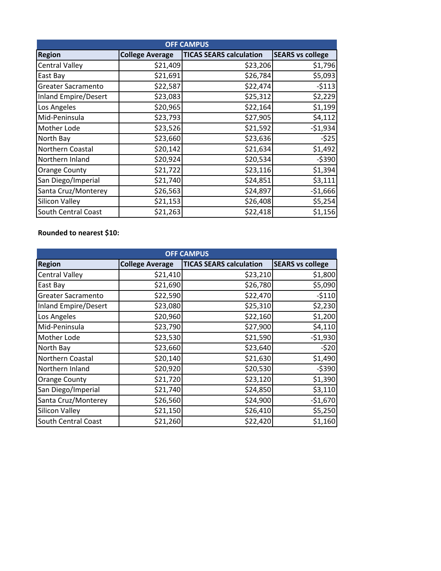| <b>OFF CAMPUS</b>           |                        |                                |                         |  |  |  |
|-----------------------------|------------------------|--------------------------------|-------------------------|--|--|--|
| <b>Region</b>               | <b>College Average</b> | <b>TICAS SEARS calculation</b> | <b>SEARS vs college</b> |  |  |  |
| <b>Central Valley</b>       | \$21,409               | \$23,206                       | \$1,796                 |  |  |  |
| East Bay                    | \$21,691               | \$26,784                       | \$5,093                 |  |  |  |
| <b>Greater Sacramento</b>   | \$22,587               | \$22,474                       | $-5113$                 |  |  |  |
| <b>Inland Empire/Desert</b> | \$23,083               | \$25,312                       | \$2,229                 |  |  |  |
| Los Angeles                 | \$20,965               | \$22,164                       | \$1,199                 |  |  |  |
| Mid-Peninsula               | \$23,793               | \$27,905                       | \$4,112                 |  |  |  |
| Mother Lode                 | \$23,526               | \$21,592                       | $-51,934$               |  |  |  |
| North Bay                   | \$23,660               | \$23,636                       | $-525$                  |  |  |  |
| Northern Coastal            | \$20,142               | \$21,634                       | \$1,492                 |  |  |  |
| Northern Inland             | \$20,924               | \$20,534                       | $-5390$                 |  |  |  |
| <b>Orange County</b>        | \$21,722               | \$23,116                       | \$1,394                 |  |  |  |
| San Diego/Imperial          | \$21,740               | \$24,851                       | \$3,111                 |  |  |  |
| Santa Cruz/Monterey         | \$26,563               | \$24,897                       | $-$1,666$               |  |  |  |
| <b>Silicon Valley</b>       | \$21,153               | \$26,408                       | \$5,254                 |  |  |  |
| South Central Coast         | \$21,263               | \$22,418                       | \$1,156                 |  |  |  |

## **Rounded to nearest \$10:**

| <b>OFF CAMPUS</b>         |                        |                                |                         |  |  |  |
|---------------------------|------------------------|--------------------------------|-------------------------|--|--|--|
| <b>Region</b>             | <b>College Average</b> | <b>TICAS SEARS calculation</b> | <b>SEARS vs college</b> |  |  |  |
| <b>Central Valley</b>     | \$21,410               | \$23,210                       | \$1,800                 |  |  |  |
| East Bay                  | \$21,690               | \$26,780                       | \$5,090                 |  |  |  |
| <b>Greater Sacramento</b> | \$22,590               | \$22,470                       | $-5110$                 |  |  |  |
| Inland Empire/Desert      | \$23,080               | \$25,310                       | \$2,230                 |  |  |  |
| Los Angeles               | \$20,960               | \$22,160                       | \$1,200                 |  |  |  |
| Mid-Peninsula             | \$23,790               | \$27,900                       | \$4,110                 |  |  |  |
| Mother Lode               | \$23,530               | \$21,590                       | $-51,930$               |  |  |  |
| North Bay                 | \$23,660               | \$23,640                       | $-520$                  |  |  |  |
| Northern Coastal          | \$20,140               | \$21,630                       | \$1,490                 |  |  |  |
| Northern Inland           | \$20,920               | \$20,530                       | $-5390$                 |  |  |  |
| <b>Orange County</b>      | \$21,720               | \$23,120                       | \$1,390                 |  |  |  |
| San Diego/Imperial        | \$21,740               | \$24,850                       | \$3,110                 |  |  |  |
| Santa Cruz/Monterey       | \$26,560               | \$24,900                       | $-$1,670$               |  |  |  |
| <b>Silicon Valley</b>     | \$21,150               | \$26,410                       | \$5,250                 |  |  |  |
| South Central Coast       | \$21,260               | \$22,420                       | \$1,160                 |  |  |  |